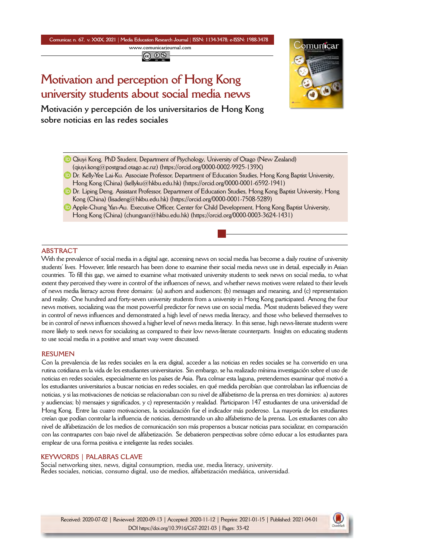**Comunicar, n. 67, v. XXIX, 2021** *|* **Media Education Research Journal** *|* **ISSN: 1134-3478; e-ISSN: 1988-3478 <www.comunicarjournal.com>**

@ 0ි

# **Motivation and perception of Hong Kong university students about social media news**



**Motivación y percepción de los universitarios de Hong Kong sobre noticias en las redes sociales**

- Qiuyi Kong. PhD Student, Department of Psychology, University of Otago (New Zealand)  $(qi$ uyi.kong $@$ postgrad.otago.ac.nz) [\(https://orcid.org/0000-0002-9925-139X\)](https://orcid.org/0000-0002-9925-139X)
- **D** Dr. Kelly-Yee Lai-Ku. Associate Professor, Department of Education Studies, Hong Kong Baptist University, Hong Kong (China) [\(kellyku@hkbu.edu.hk\)](mailto:kellyku@hkbu.edu.hk) (<https://orcid.org/0000-0001-6592-1941>)
- **D** Dr. Liping Deng. Assistant Professor, Department of Education Studies, Hong Kong Baptist University, Hong Kong (China) ([lisadeng@hkbu.edu.hk](mailto:lisadeng@hkbu.edu.hk)) [\(https://orcid.org/0000-0001-7508-5289\)](https://orcid.org/0000-0001-7508-5289)
- Apple-Chung Yan-Au. Executive Officer, Center for Child Development, Hong Kong Baptist University, Hong Kong (China) [\(chungyan@hkbu.edu.hk](mailto:chungyan@hkbu.edu.hk)) ([https://orcid.org/0000-0003-3624-1431\)](https://orcid.org/0000-0003-3624-1431)

## **ABSTRACT**

With the prevalence of social media in a digital age, accessing news on social media has become a daily routine of university students' lives. However, little research has been done to examine their social media news use in detail, especially in Asian countries. To fill this gap, we aimed to examine what motivated university students to seek news on social media, to what extent they perceived they were in control of the influences of news, and whether news motives were related to their levels of news media literacy across three domains: (a) authors and audiences; (b) messages and meaning, and (c) representation and reality. One hundred and forty-seven university students from a university in Hong Kong participated. Among the four news motives, socializing was the most powerful predictor for news use on social media. Most students believed they were in control of news influences and demonstrated a high level of news media literacy, and those who believed themselves to be in control of news influences showed a higher level of news media literacy. In this sense, high news-literate students were more likely to seek news for socializing as compared to their low news-literate counterparts. Insights on educating students to use social media in a positive and smart way were discussed.

## **RESUMEN**

Con la prevalencia de las redes sociales en la era digital, acceder a las noticias en redes sociales se ha convertido en una rutina cotidiana en la vida de los estudiantes universitarios. Sin embargo, se ha realizado mínima investigación sobre el uso de noticias en redes sociales, especialmente en los países de Asia. Para colmar esta laguna, pretendemos examinar qué motivó a los estudiantes universitarios a buscar noticias en redes sociales, en qué medida percibían que controlaban las influencias de noticias, y si las motivaciones de noticias se relacionaban con su nivel de alfabetismo de la prensa en tres dominios: a) autores y audiencias; b) mensajes y significados, y c) representación y realidad. Participaron 147 estudiantes de una universidad de Hong Kong. Entre las cuatro motivaciones, la socialización fue el indicador más poderoso. La mayoría de los estudiantes creían que podían controlar la influencia de noticias, demostrando un alto alfabetismo de la prensa. Los estudiantes con alto nivel de alfabetización de los medios de comunicación son más propensos a buscar noticias para socializar, en comparación con las contrapartes con bajo nivel de alfabetización. Se debatieron perspectivas sobre cómo educar a los estudiantes para emplear de una forma positiva e inteligente las redes sociales.

## **KEYWORDS | PALABRAS CLAVE**

Social networking sites, news, digital consumption, media use, media literacy, university. Redes sociales, noticias, consumo digital, uso de medios, alfabetización mediática, universidad.

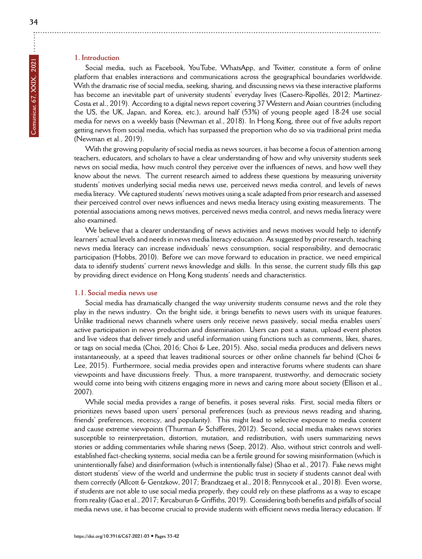# **1. Introduction**

Social media, such as Facebook, YouTube, WhatsApp, and Twitter, constitute a form of online platform that enables interactions and communications across the geographical boundaries worldwide. With the dramatic rise of social media, seeking, sharing, and discussing news via these interactive platforms has become an inevitable part of university students' everyday lives (Casero-Ripollés, 2012; Martinez-Costa et al., 2019). According to a digital news report covering 37 Western and Asian countries (including the US, the UK, Japan, and Korea, etc.), around half (53%) of young people aged 18-24 use social media for news on a weekly basis (Newman et al., 2018). In Hong Kong, three out of five adults report getting news from social media, which has surpassed the proportion who do so via traditional print media (Newman et al., 2019).

With the growing popularity of social media as news sources, it has become a focus of attention among teachers, educators, and scholars to have a clear understanding of how and why university students seek news on social media, how much control they perceive over the influences of news, and how well they know about the news. The current research aimed to address these questions by measuring university students' motives underlying social media news use, perceived news media control, and levels of news media literacy. We captured students' news motives using a scale adapted from prior research and assessed their perceived control over news influences and news media literacy using existing measurements. The potential associations among news motives, perceived news media control, and news media literacy were also examined.

We believe that a clearer understanding of news activities and news motives would help to identify learners' actual levels and needs in news media literacy education. As suggested by prior research, teaching news media literacy can increase individuals' news consumption, social responsibility, and democratic participation (Hobbs, 2010). Before we can move forward to education in practice, we need empirical data to identify students' current news knowledge and skills. In this sense, the current study fills this gap by providing direct evidence on Hong Kong students' needs and characteristics.

#### **1.1. Social media news use**

Social media has dramatically changed the way university students consume news and the role they play in the news industry. On the bright side, it brings benefits to news users with its unique features. Unlike traditional news channels where users only receive news passively, social media enables users' active participation in news production and dissemination. Users can post a status, upload event photos and live videos that deliver timely and useful information using functions such as comments, likes, shares, or tags on social media (Choi, 2016; Choi & Lee, 2015). Also, social media produces and delivers news instantaneously, at a speed that leaves traditional sources or other online channels far behind (Choi & Lee, 2015). Furthermore, social media provides open and interactive forums where students can share viewpoints and have discussions freely. Thus, a more transparent, trustworthy, and democratic society would come into being with citizens engaging more in news and caring more about society (Ellison et al., 2007).

While social media provides a range of benefits, it poses several risks. First, social media filters or prioritizes news based upon users' personal preferences (such as previous news reading and sharing, friends' preferences, recency, and popularity). This might lead to selective exposure to media content and cause extreme viewpoints (Thurman & Schifferes, 2012). Second, social media makes news stories susceptible to reinterpretation, distortion, mutation, and redistribution, with users summarizing news stories or adding commentaries while sharing news (Soep, 2012). Also, without strict controls and wellestablished fact-checking systems, social media can be a fertile ground for sowing misinformation (which is unintentionally false) and disinformation (which is intentionally false) (Shao et al., 2017). Fake news might distort students' view of the world and undermine the public trust in society if students cannot deal with them correctly (Allcott & Gentzkow, 2017; Brandtzaeg et al., 2018; Pennycook et al., 2018). Even worse, if students are not able to use social media properly, they could rely on these platfroms as a way to escape from reality (Gao et al., 2017; Kırcaburun & Griffiths, 2019). Considering both benefits and pitfalls of social media news use, it has become crucial to provide students with efficient news media literacy education. If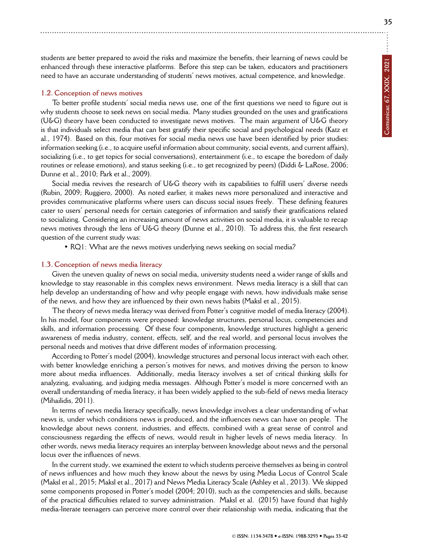students are better prepared to avoid the risks and maximize the benefits, their learning of news could be enhanced through these interactive platforms. Before this step can be taken, educators and practitioners need to have an accurate understanding of students' news motives, actual competence, and knowledge.

## **1.2. Conception of news motives**

To better profile students' social media news use, one of the first questions we need to figure out is why students choose to seek news on social media. Many studies grounded on the uses and gratifications (U&G) theory have been conducted to investigate news motives. The main argument of U&G theory is that individuals select media that can best gratify their specific social and psychological needs (Katz et al., 1974). Based on this, four motives for social media news use have been identified by prior studies: information seeking (i.e., to acquire useful information about community, social events, and current affairs), socializing (i.e., to get topics for social conversations), entertainment (i.e., to escape the boredom of daily routines or release emotions), and status seeking (i.e., to get recognized by peers) (Diddi & LaRose, 2006; Dunne et al., 2010; Park et al., 2009).

Social media revives the research of U&G theory with its capabilities to fulfill users' diverse needs (Rubin, 2009; Ruggiero, 2000). As noted earlier, it makes news more personalized and interactive and provides communicative platforms where users can discuss social issues freely. These defining features cater to users' personal needs for certain categories of information and satisfy their gratifications related to socializing. Considering an increasing amount of news activities on social media, it is valuable to recap news motives through the lens of U&G theory (Dunne et al., 2010). To address this, the first research question of the current study was:

• RQ1: What are the news motives underlying news seeking on social media?

#### **1.3. Conception of news media literacy**

Given the uneven quality of news on social media, university students need a wider range of skills and knowledge to stay reasonable in this complex news environment. News media literacy is a skill that can help develop an understanding of how and why people engage with news, how individuals make sense of the news, and how they are influenced by their own news habits (Maksl et al., 2015).

The theory of news media literacy was derived from Potter's cognitive model of media literacy (2004). In his model, four components were proposed: knowledge structures, personal locus, competencies and skills, and information processing. Of these four components, knowledge structures highlight a generic awareness of media industry, content, effects, self, and the real world, and personal locus involves the personal needs and motives that drive different modes of information processing.

According to Potter's model (2004), knowledge structures and personal locus interact with each other, with better knowledge enriching a person's motives for news, and motives driving the person to know more about media influences. Additionally, media literacy involves a set of critical thinking skills for analyzing, evaluating, and judging media messages. Although Potter's model is more concerned with an overall understanding of media literacy, it has been widely applied to the sub-field of news media literacy (Mihailidis, 2011).

In terms of news media literacy specifically, news knowledge involves a clear understanding of what news is, under which conditions news is produced, and the influences news can have on people. The knowledge about news content, industries, and effects, combined with a great sense of control and consciousness regarding the effects of news, would result in higher levels of news media literacy. In other words, news media literacy requires an interplay between knowledge about news and the personal locus over the influences of news.

In the current study, we examined the extent to which students perceive themselves as being in control of news influences and how much they know about the news by using Media Locus of Control Scale (Maksl et al., 2015; Maksl et al., 2017) and News Media Literacy Scale (Ashley et al., 2013). We skipped some components proposed in Potter's model (2004; 2010), such as the competencies and skills, because of the practical difficulties related to survey administration. Maksl et al. (2015) have found that highly media-literate teenagers can perceive more control over their relationship with media, indicating that the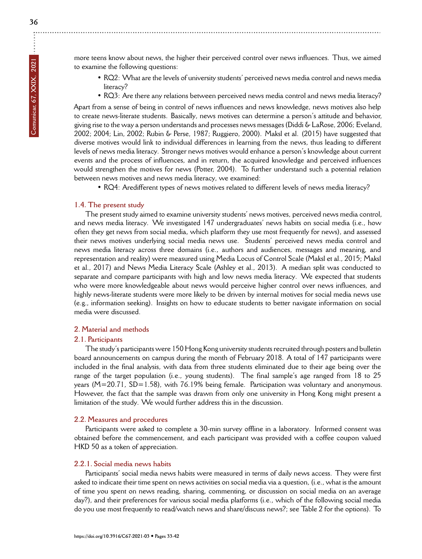÷

more teens know about news, the higher their perceived control over news influences. Thus, we aimed to examine the following questions:

- RQ2: What are the levels of university students' perceived news media control and news media literacy?
- RQ3: Are there any relations between perceived news media control and news media literacy?

Apart from a sense of being in control of news influences and news knowledge, news motives also help to create news-literate students. Basically, news motives can determine a person's attitude and behavior, giving rise to the way a person understands and processes news messages (Diddi & LaRose, 2006; Eveland, 2002; 2004; Lin, 2002; Rubin & Perse, 1987; Ruggiero, 2000). Maksl et al. (2015) have suggested that diverse motives would link to individual differences in learning from the news, thus leading to different levels of news media literacy. Stronger news motives would enhance a person's knowledge about current events and the process of influences, and in return, the acquired knowledge and perceived influences would strengthen the motives for news (Potter, 2004). To further understand such a potential relation between news motives and news media literacy, we examined:

• RQ4: Aredifferent types of news motives related to different levels of news media literacy?

## **1.4. The present study**

The present study aimed to examine university students' news motives, perceived news media control, and news media literacy. We investigated 147 undergraduates' news habits on social media (i.e., how often they get news from social media, which platform they use most frequently for news), and assessed their news motives underlying social media news use. Students' perceived news media control and news media literacy across three domains (i.e., authors and audiences, messages and meaning, and representation and reality) were measured using Media Locus of Control Scale (Maksl et al., 2015; Maksl et al., 2017) and News Media Literacy Scale (Ashley et al., 2013). A median split was conducted to separate and compare participants with high and low news media literacy. We expected that students who were more knowledgeable about news would perceive higher control over news influences, and highly news-literate students were more likely to be driven by internal motives for social media news use (e.g., information seeking). Insights on how to educate students to better navigate information on social media were discussed.

## **2. Material and methods**

## **2.1. Participants**

The study's participants were 150 Hong Kong university students recruited through posters and bulletin board announcements on campus during the month of February 2018. A total of 147 participants were included in the final analysis, with data from three students eliminated due to their age being over the range of the target population (i.e., young students). The final sample's age ranged from 18 to 25 years (M=20.71, SD=1.58), with 76.19% being female. Participation was voluntary and anonymous. However, the fact that the sample was drawn from only one university in Hong Kong might present a limitation of the study. We would further address this in the discussion.

## **2.2. Measures and procedures**

Participants were asked to complete a 30-min survey offline in a laboratory. Informed consent was obtained before the commencement, and each participant was provided with a coffee coupon valued HKD 50 as a token of appreciation.

# **2.2.1. Social media news habits**

Participants' social media news habits were measured in terms of daily news access. They were first asked to indicate their time spent on news activities on social media via a question, (i.e., what is the amount of time you spent on news reading, sharing, commenting, or discussion on social media on an average day?), and their preferences for various social media platforms (i.e., which of the following social media do you use most frequently to read/watch news and share/discuss news?; see Table 2 for the options). To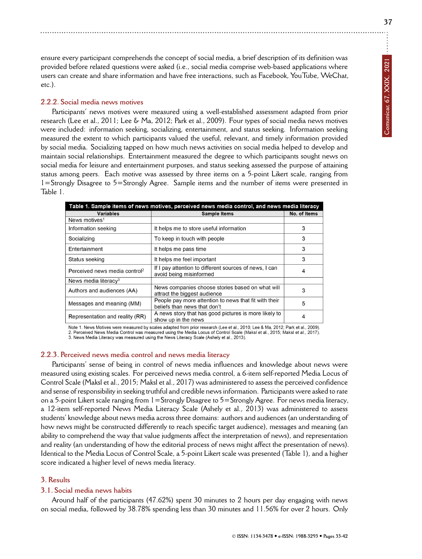ensure every participant comprehends the concept of social media, a brief description of its definition was provided before related questions were asked (i.e., social media comprise web-based applications where users can create and share information and have free interactions, such as Facebook, YouTube, WeChat, etc.).

# **2.2.2. Social media news motives**

Participants' news motives were measured using a well-established assessment adapted from prior research (Lee et al., 2011; Lee & Ma, 2012; Park et al., 2009). Four types of social media news motives were included: information seeking, socializing, entertainment, and status seeking. Information seeking measured the extent to which participants valued the useful, relevant, and timely information provided by social media. Socializing tapped on how much news activities on social media helped to develop and maintain social relationships. Entertainment measured the degree to which participants sought news on social media for leisure and entertainment purposes, and status seeking assessed the purpose of attaining status among peers. Each motive was assessed by three items on a 5-point Likert scale, ranging from 1=Strongly Disagree to 5=Strongly Agree. Sample items and the number of items were presented in Table 1.

| Table 1. Sample items of news motives, perceived news media control, and news media literacy |                                                                                       |              |  |  |  |
|----------------------------------------------------------------------------------------------|---------------------------------------------------------------------------------------|--------------|--|--|--|
| Variables                                                                                    | <b>Sample Items</b>                                                                   | No. of Items |  |  |  |
| News motives <sup>1</sup>                                                                    |                                                                                       |              |  |  |  |
| Information seeking                                                                          | It helps me to store useful information                                               | 3            |  |  |  |
| Socializing                                                                                  | To keep in touch with people                                                          | 3            |  |  |  |
| Entertainment                                                                                | It helps me pass time                                                                 | 3            |  |  |  |
| Status seeking                                                                               | It helps me feel important                                                            | 3            |  |  |  |
| Perceived news media control <sup>2</sup>                                                    | If I pay attention to different sources of news, I can<br>avoid being misinformed     | 4            |  |  |  |
| News media literacy <sup>3</sup>                                                             |                                                                                       |              |  |  |  |
| Authors and audiences (AA)                                                                   | News companies choose stories based on what will<br>attract the biggest audience      | 3            |  |  |  |
| Messages and meaning (MM)                                                                    | People pay more attention to news that fit with their<br>beliefs than news that don't | 5            |  |  |  |
| Representation and reality (RR)                                                              | A news story that has good pictures is more likely to<br>show up in the news          | 4            |  |  |  |

Note 1. News Motives were measured by scales adapted from prior research (Lee et al., 2010; Lee & Ma, 2012; Park et al., 2009). 2. Perceived News Media Control was measured using the Media Locus of Control Scale (Maksl et al. 2015; Maksl et al. 2017).

3. News Media Literacy was measured using the News Literacy Scale (Ashely et al., 2013).

## **2.2.3. Perceived news media control and news media literacy**

Participants' sense of being in control of news media influences and knowledge about news were measured using existing scales. For perceived news media control, a 6-item self-reported Media Locus of Control Scale (Maksl et al., 2015; Maksl et al., 2017) was administered to assess the perceived confidence and sense of responsibility in seeking truthful and credible news information. Participants were asked to rate on a 5-point Likert scale ranging from 1=Strongly Disagree to 5=Strongly Agree. For news media literacy, a 12-item self-reported News Media Literacy Scale (Ashely et al., 2013) was administered to assess students' knowledge about news media across three domains: authors and audiences (an understanding of how news might be constructed differently to reach specific target audience), messages and meaning (an ability to comprehend the way that value judgments affect the interpretation of news), and representation and reality (an understanding of how the editorial process of news might affect the presentation of news). Identical to the Media Locus of Control Scale, a 5-point Likert scale was presented (Table 1), and a higher score indicated a higher level of news media literacy.

## **3. Results**

## **3.1. Social media news habits**

Around half of the participants (47.62%) spent 30 minutes to 2 hours per day engaging with news on social media, followed by 38.78% spending less than 30 minutes and 11.56% for over 2 hours. Only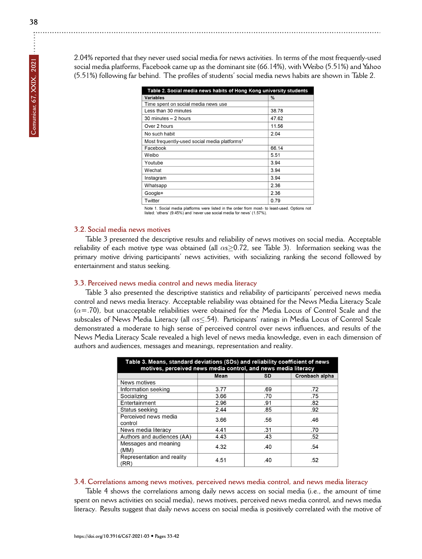2.04% reported that they never used social media for news activities. In terms of the most frequently-used social media platforms, Facebook came up as the dominant site (66.14%), with Weibo (5.51%) and Yahoo (5.51%) following far behind. The profiles of students' social media news habits are shown in Table 2.

| Table 2. Social media news habits of Hong Kong university students |       |  |  |  |
|--------------------------------------------------------------------|-------|--|--|--|
| Variables                                                          | %     |  |  |  |
| Time spent on social media news use                                |       |  |  |  |
| Less than 30 minutes                                               | 38.78 |  |  |  |
| 30 minutes - 2 hours                                               | 47.62 |  |  |  |
| Over 2 hours                                                       | 11.56 |  |  |  |
| No such habit                                                      | 2.04  |  |  |  |
| Most frequently-used social media platforms <sup>1</sup>           |       |  |  |  |
| Facebook                                                           | 66.14 |  |  |  |
| Weibo                                                              | 5.51  |  |  |  |
| Youtube                                                            | 3.94  |  |  |  |
| Wechat                                                             | 3.94  |  |  |  |
| Instagram                                                          | 3.94  |  |  |  |
| Whatsapp                                                           | 2.36  |  |  |  |
| Google+                                                            | 2.36  |  |  |  |
| Twitter                                                            | 0.79  |  |  |  |

Note 1. Social media platforms were listed in the order from most- to least-used. Options not listed: 'others' (9.45%) and 'never use social media for news' (1.57%).

# **3.2. Social media news motives**

Table 3 presented the descriptive results and reliability of news motives on social media. Acceptable reliability of each motive type was obtained (all *α*s*≥*0.72, see Table 3). Information seeking was the primary motive driving participants' news activities, with socializing ranking the second followed by entertainment and status seeking.

## **3.3. Perceived news media control and news media literacy**

Table 3 also presented the descriptive statistics and reliability of participants' perceived news media control and news media literacy. Acceptable reliability was obtained for the News Media Literacy Scale (*α*=.70), but unacceptable reliabilities were obtained for the Media Locus of Control Scale and the subscales of News Media Literacy (all *α*s*≤*.54). Participants' ratings in Media Locus of Control Scale demonstrated a moderate to high sense of perceived control over news influences, and results of the News Media Literacy Scale revealed a high level of news media knowledge, even in each dimension of authors and audiences, messages and meanings, representation and reality.

| Table 3. Means, standard deviations (SDs) and reliability coefficient of news<br>motives, perceived news media control, and news media literacy |      |     |                |  |
|-------------------------------------------------------------------------------------------------------------------------------------------------|------|-----|----------------|--|
|                                                                                                                                                 | Mean | SD  | Cronbach alpha |  |
| News motives                                                                                                                                    |      |     |                |  |
| Information seeking                                                                                                                             | 3.77 | .69 | .72            |  |
| Socializing                                                                                                                                     | 3.66 | .70 | .75            |  |
| Entertainment                                                                                                                                   | 2.96 | .91 | .82            |  |
| Status seeking                                                                                                                                  | 2.44 | .85 | .92            |  |
| Perceived news media<br>control                                                                                                                 | 3.66 | .56 | .46            |  |
| News media literacy                                                                                                                             | 4.41 | .31 | .70            |  |
| Authors and audiences (AA)                                                                                                                      | 4.43 | .43 | .52            |  |
| Messages and meaning<br>(MM)                                                                                                                    | 4.32 | .40 | -54            |  |
| Representation and reality<br>(RR)                                                                                                              | 4.51 | .40 | .52            |  |

#### **3.4. Correlations among news motives, perceived news media control, and news media literacy**

Table 4 shows the correlations among daily news access on social media (i.e., the amount of time spent on news activities on social media), news motives, perceived news media control, and news media literacy. Results suggest that daily news access on social media is positively correlated with the motive of

 $\vdots$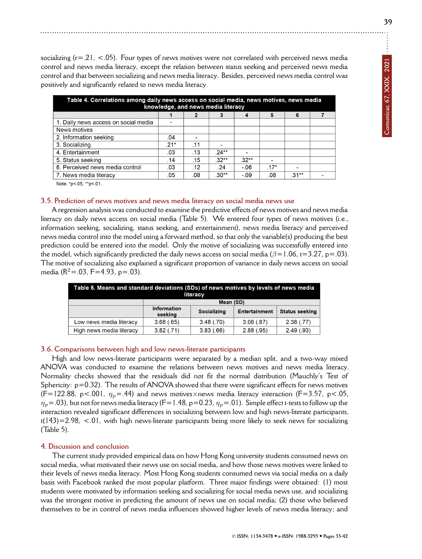socializing ( $r=0.21$ , <.05). Four types of news motives were not correlated with perceived news media control and news media literacy, except the relation between status seeking and perceived news media control and that between socializing and news media literacy. Besides, perceived news media control was positively and significantly related to news media literacy.

| Table 4. Correlations among daily news access on social media, news motives, news media<br>knowledge, and news media literacy |        |     |         |         |        |         |  |
|-------------------------------------------------------------------------------------------------------------------------------|--------|-----|---------|---------|--------|---------|--|
|                                                                                                                               |        | 2   | 3       | 4       | 5      | 6       |  |
| 1. Daily news access on social media                                                                                          | -      |     |         |         |        |         |  |
| News motives                                                                                                                  |        |     |         |         |        |         |  |
| 2. Information seeking                                                                                                        | .04    |     |         |         |        |         |  |
| 3. Socializing                                                                                                                | $.21*$ | .11 |         |         |        |         |  |
| 4. Entertainment                                                                                                              | .03    | .13 | $24**$  |         |        |         |  |
| 5. Status seeking                                                                                                             | .14    | .15 | $.32**$ | $.32**$ |        |         |  |
| 6. Perceived news media control                                                                                               | .03    | .12 | .24     | $-06$   | $.17*$ | -       |  |
| 7. News media literacy                                                                                                        | .05    | .08 | .30**   | -.09    | .08    | $.31**$ |  |
|                                                                                                                               |        |     |         |         |        |         |  |

Note. \*p<.05, \*\*p<.01.

## **3.5. Prediction of news motives and news media literacy on social media news use**

A regression analysis was conducted to examine the predictive effects of news motives and news media literacy on daily news access on social media (Table 5). We entered four types of news motives (i.e., information seeking, socializing, status seeking, and entertainment), news media literacy and perceived news media control into the model using a forward method, so that only the variable(s) producing the best prediction could be entered into the model. Only the motive of socializing was successfully entered into the model, which significantly predicted the daily news access on social media (*β*=1.06, t=3.27, p=.03). The motive of socializing also explained a significant proportion of variance in daily news access on social media ( $R^2 = .03$ ,  $F = 4.93$ ,  $p = .03$ ).

| Table 5. Means and standard deviations (SDs) of news motives by levels of news media<br>literacy |                        |             |               |                       |
|--------------------------------------------------------------------------------------------------|------------------------|-------------|---------------|-----------------------|
|                                                                                                  | Mean (SD)              |             |               |                       |
|                                                                                                  | Information<br>seeking | Socializing | Entertainment | <b>Status seeking</b> |
| Low news media literacy                                                                          | 3.68(.65)              | 3.48(.70)   | 3.06(.87)     | 2.38(.77)             |
| High news media literacy                                                                         | 3.82(.71)              | 3.83(.66)   | 2.88(.95)     | 2.49(.93)             |

#### **3.6. Comparisons between high and low news-literate participants**

High and low news-literate participants were separated by a median split, and a two-way mixed ANOVA was conducted to examine the relations between news motives and news media literacy. Normality checks showed that the residuals did not fit the normal distribution (Mauchly's Test of Sphericity:  $p=0.32$ ). The results of ANOVA showed that there were significant effects for news motives  $(F=122.88, p<.001, \eta_p=.44)$  and news motives×news media literacy interaction (F=3.57, p<.05,  $\eta_p$  = .03), but not for news media literacy (F=1.48, p=0.23,  $\eta_p$  = .01). Simple effect t-tests to follow up the interaction revealed significant differences in socializing between low and high news-literate participants, t(143)=2.98, <.01, with high news-literate participants being more likely to seek news for socializing (Table 5).

## **4. Discussion and conclusion**

The current study provided empirical data on how Hong Kong university students consumed news on social media, what motivated their news use on social media, and how those news motives were linked to their levels of news media literacy. Most Hong Kong students consumed news via social media on a daily basis with Facebook ranked the most popular platform. Three major findings were obtained: (1) most students were motivated by information seeking and socializing for social media news use, and socializing was the strongest motive in predicting the amount of news use on social media; (2) those who believed themselves to be in control of news media influences showed higher levels of news media literacy; and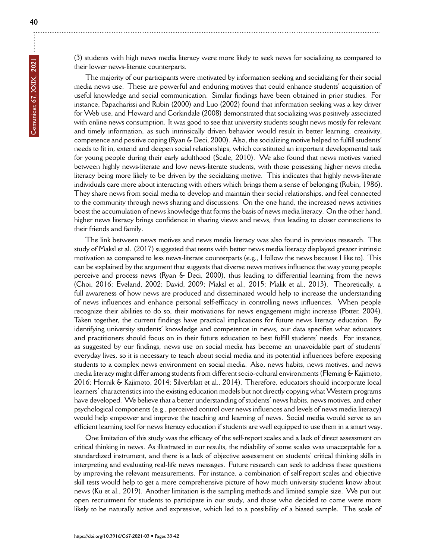(3) students with high news media literacy were more likely to seek news for socializing as compared to their lower news-literate counterparts.

The majority of our participants were motivated by information seeking and socializing for their social media news use. These are powerful and enduring motives that could enhance students' acquisition of useful knowledge and social communication. Similar findings have been obtained in prior studies. For instance, Papacharissi and Rubin (2000) and Luo (2002) found that information seeking was a key driver for Web use, and Howard and Corkindale (2008) demonstrated that socializing was positively associated with online news consumption. It was good to see that university students sought news mostly for relevant and timely information, as such intrinsically driven behavior would result in better learning, creativity, competence and positive coping (Ryan & Deci, 2000). Also, the socializing motive helped to fulfill students' needs to fit in, extend and deepen social relationships, which constituted an important developmental task for young people during their early adulthood (Scale, 2010). We also found that news motives varied between highly news-literate and low news-literate students, with those possessing higher news media literacy being more likely to be driven by the socializing motive. This indicates that highly news-literate individuals care more about interacting with others which brings them a sense of belonging (Rubin, 1986). They share news from social media to develop and maintain their social relationships, and feel connected to the community through news sharing and discussions. On the one hand, the increased news activities boost the accumulation of news knowledge that forms the basis of news media literacy. On the other hand, higher news literacy brings confidence in sharing views and news, thus leading to closer connections to their friends and family.

The link between news motives and news media literacy was also found in previous research. The study of Maksl et al. (2017) suggested that teens with better news media literacy displayed greater intrinsic motivation as compared to less news-literate counterparts (e.g., I follow the news because I like to). This can be explained by the argument that suggests that diverse news motives influence the way young people perceive and process news (Ryan & Deci, 2000), thus leading to differential learning from the news (Choi, 2016; Eveland, 2002; David, 2009; Maksl et al., 2015; Malik et al., 2013). Theoretically, a full awareness of how news are produced and disseminated would help to increase the understanding of news influences and enhance personal self-efficacy in controlling news influences. When people recognize their abilities to do so, their motivations for news engagement might increase (Potter, 2004). Taken together, the current findings have practical implications for future news literacy education. By identifying university students' knowledge and competence in news, our data specifies what educators and practitioners should focus on in their future education to best fulfill students' needs. For instance, as suggested by our findings, news use on social media has become an unavoidable part of students' everyday lives, so it is necessary to teach about social media and its potential influences before exposing students to a complex news environment on social media. Also, news habits, news motives, and news media literacy might differ among students from different socio-cultural environments (Fleming & Kajimoto, 2016; Hornik & Kajimoto, 2014; Silverblatt et al., 2014). Therefore, educators should incorporate local learners' characteristics into the existing education models but not directly copying what Western programs have developed. We believe that a better understanding of students' news habits, news motives, and other psychological components (e.g., perceived control over news influences and levels of news media literacy) would help empower and improve the teaching and learning of news. Social media would serve as an efficient learning tool for news literacy education if students are well equipped to use them in a smart way.

One limitation of this study was the efficacy of the self-report scales and a lack of direct assessment on critical thinking in news. As illustrated in our results, the reliability of some scales was unacceptable for a standardized instrument, and there is a lack of objective assessment on students' critical thinking skills in interpreting and evaluating real-life news messages. Future research can seek to address these questions by improving the relevant measurements. For instance, a combination of self-report scales and objective skill tests would help to get a more comprehensive picture of how much university students know about news (Ku et al., 2019). Another limitation is the sampling methods and limited sample size. We put out open recruitment for students to participate in our study, and those who decided to come were more likely to be naturally active and expressive, which led to a possibility of a biased sample. The scale of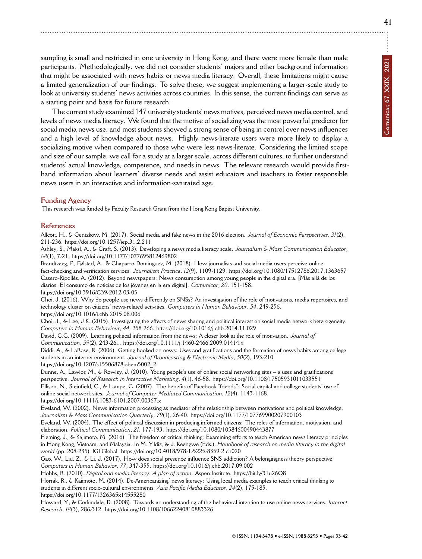**41**

sampling is small and restricted in one university in Hong Kong, and there were more female than male participants. Methodologically, we did not consider students' majors and other background information that might be associated with news habits or news media literacy. Overall, these limitations might cause a limited generalization of our findings. To solve these, we suggest implementing a larger-scale study to look at university students' news activities across countries. In this sense, the current findings can serve as a starting point and basis for future research.

The current study examined 147 university students' news motives, perceived news media control, and levels of news media literacy. We found that the motive of socializing was the most powerful predictor for social media news use, and most students showed a strong sense of being in control over news influences and a high level of knowledge about news. Highly news-literate users were more likely to display a socializing motive when compared to those who were less news-literate. Considering the limited scope and size of our sample, we call for a study at a larger scale, across different cultures, to further understand students' actual knowledge, competence, and needs in news. The relevant research would provide firsthand information about learners' diverse needs and assist educators and teachers to foster responsible news users in an interactive and information-saturated age.

## **Funding Agency**

This research was funded by Faculty Research Grant from the Hong Kong Baptist University.

#### **References**

Allcott, H., & Gentzkow, M. (2017). Social media and fake news in the 2016 election. *Journal of Economic Perspectives*, *31*(2), 211-236.<https://doi.org/10.1257/jep.31.2.211>

Ashley, S., Maksl, A., & Craft, S. (2013). Developing a news media literacy scale. *Journalism & Mass Communication Educator*, *68*(1), 7-21.<https://doi.org/10.1177/1077695812469802>

Brandtzaeg, P., Følstad, A., & Chaparro-Domínguez, M. (2018). How journalists and social media users perceive online fact-checking and verification services. *Journalism Practice*, *12*(9), 1109-1129.<https://doi.org/10.1080/17512786.2017.1363657> Casero-Ripollés, A. (2012). Beyond newspapers: News consumption among young people in the digital era. [Más allá de los diarios: El consumo de noticias de los jóvenes en la era digital]. *Comunicar*, *20*, 151-158. <https://doi.org/10.3916/C39-2012-03-05>

Choi, J. (2016). Why do people use news differently on SNSs? An investigation of the role of motivations, media repertoires, and technology cluster on citizens' news-related activities. *Computers in Human Behaviour*, *54*, 249-256. <https://doi.org/10.1016/j.chb.2015.08.006>

Choi, J., & Lee, J.K. (2015). Investigating the effects of news sharing and political interest on social media network heterogeneity. *Computers in Human Behaviour*, *44*, 258-266.<https://doi.org/10.1016/j.chb.2014.11.029>

David, C.C. (2009). Learning political information from the news: A closer look at the role of motivation. *Journal of Communication*, *59*(2), 243-261.<https://doi.org/10.1111/j.1460-2466.2009.01414.x>

Diddi, A., & LaRose, R. (2006). Getting hooked on news: Uses and gratifications and the formation of news habits among college students in an internet environment. *Journal of Broadcasting & Electronic Media*, *50*(2), 193-210. [https://doi.org/10.1207/s15506878jobem5002\\_2](https://doi.org/10.1207/s15506878jobem5002_2)

Dunne, A., Lawlor, M., & Rowley, J. (2010). Young people's use of online social networking sites – a uses and gratifications perspective. *Journal of Research in Interactive Marketing*, *4*(1), 46-58.<https://doi.org/10.1108/17505931011033551> Ellison, N., Steinfield, C., & Lampe, C. (2007). The benefits of Facebook "friends": Social capital and college students' use of

online social network sites. *Journal of Computer-Mediated Communication*, *12*(4), 1143-1168. <https://doi.org/10.1111/j.1083-6101.2007.00367.x>

Eveland, W. (2002). News information processing as mediator of the relationship between motivations and political knowledge. *Journalism & Mass Communication Quarterly*, *79*(1), 26-40.<https://doi.org/10.1177/107769900207900103>

Eveland, W. (2004). The effect of political discussion in producing informed citizens: The roles of information, motivation, and elaboration. *Political Communication*, *21*, 177-193.<https://doi.org/10.1080/10584600490443877>

Fleming, J., & Kajimoto, M. (2016). The freedom of critical thinking: Examining efforts to teach American news literacy principles in Hong Kong, Vietnam, and Malaysia. In M. Yildiz, & J. Keengwe (Eds.), *Handbook of research on media literacy in the digital world* (pp. 208-235). IGI Global.<https://doi.org/10.4018/978-1-5225-8359-2.ch020>

Gao, W., Liu, Z., & Li, J. (2017). How does social presence influence SNS addiction? A belongingness theory perspective. *Computers in Human Behavior*, *77*, 347-355.<https://doi.org/10.1016/j.chb.2017.09.002>

Hobbs, R. (2010). *Digital and media literacy: A plan of action*. Aspen Institute.<https://bit.ly/31u26Q8>

Hornik, R., & Kajimoto, M. (2014). De-Americanizing' news literacy: Using local media examples to teach critical thinking to students in different socio-cultural environments. *Asia Pacific Media Educator*, *24*(2), 175-185.

<https://doi.org/10.1177/1326365x14555280>

Howard, Y., & Corkindale, D. (2008). Towards an understanding of the behavioral intention to use online news services. *Internet Research*, *18*(3), 286-312.<https://doi.org/10.1108/10662240810883326>